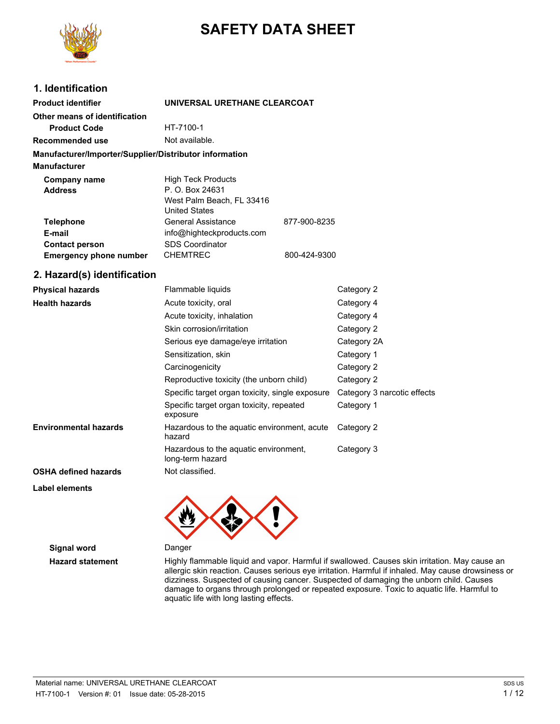

# **SAFETY DATA SHEET**

# **1. Identification**

| <b>Product identifier</b>                              | UNIVERSAL URETHANE CLEARCOAT                                                                      |              |  |
|--------------------------------------------------------|---------------------------------------------------------------------------------------------------|--------------|--|
| Other means of identification                          |                                                                                                   |              |  |
| <b>Product Code</b>                                    | HT-7100-1                                                                                         |              |  |
| Recommended use                                        | Not available.                                                                                    |              |  |
| Manufacturer/Importer/Supplier/Distributor information |                                                                                                   |              |  |
| <b>Manufacturer</b>                                    |                                                                                                   |              |  |
| Company name<br><b>Address</b>                         | <b>High Teck Products</b><br>P. O. Box 24631<br>West Palm Beach, FL 33416<br><b>United States</b> |              |  |
| <b>Telephone</b><br>E-mail<br><b>Contact person</b>    | General Assistance<br>info@highteckproducts.com<br><b>SDS Coordinator</b>                         | 877-900-8235 |  |
| <b>Emergency phone number</b>                          | <b>CHEMTREC</b>                                                                                   | 800-424-9300 |  |

# **2. Hazard(s) identification**

| <b>Physical hazards</b>      | Flammable liquids<br>Category 2                           |                             |
|------------------------------|-----------------------------------------------------------|-----------------------------|
| <b>Health hazards</b>        | Acute toxicity, oral                                      | Category 4                  |
|                              | Acute toxicity, inhalation                                | Category 4                  |
|                              | Skin corrosion/irritation                                 | Category 2                  |
|                              | Serious eye damage/eye irritation                         | Category 2A                 |
|                              | Sensitization, skin                                       | Category 1                  |
|                              | Carcinogenicity                                           | Category 2                  |
|                              | Reproductive toxicity (the unborn child)                  | Category 2                  |
|                              | Specific target organ toxicity, single exposure           | Category 3 narcotic effects |
|                              | Specific target organ toxicity, repeated<br>exposure      | Category 1                  |
| <b>Environmental hazards</b> | Hazardous to the aquatic environment, acute<br>hazard     | Category 2                  |
|                              | Hazardous to the aquatic environment,<br>long-term hazard | Category 3                  |
| <b>OSHA defined hazards</b>  | Not classified.                                           |                             |

**Label elements**

**Signal word** Danger

**Hazard statement** Highly flammable liquid and vapor. Harmful if swallowed. Causes skin irritation. May cause an allergic skin reaction. Causes serious eye irritation. Harmful if inhaled. May cause drowsiness or dizziness. Suspected of causing cancer. Suspected of damaging the unborn child. Causes damage to organs through prolonged or repeated exposure. Toxic to aquatic life. Harmful to aquatic life with long lasting effects.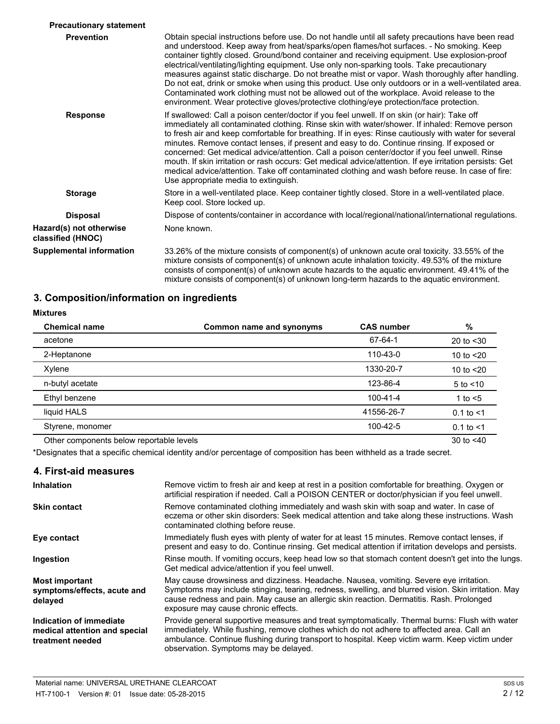| <b>Precautionary statement</b>               |                                                                                                                                                                                                                                                                                                                                                                                                                                                                                                                                                                                                                                                                                                                                                                                               |
|----------------------------------------------|-----------------------------------------------------------------------------------------------------------------------------------------------------------------------------------------------------------------------------------------------------------------------------------------------------------------------------------------------------------------------------------------------------------------------------------------------------------------------------------------------------------------------------------------------------------------------------------------------------------------------------------------------------------------------------------------------------------------------------------------------------------------------------------------------|
| <b>Prevention</b>                            | Obtain special instructions before use. Do not handle until all safety precautions have been read<br>and understood. Keep away from heat/sparks/open flames/hot surfaces. - No smoking. Keep<br>container tightly closed. Ground/bond container and receiving equipment. Use explosion-proof<br>electrical/ventilating/lighting equipment. Use only non-sparking tools. Take precautionary<br>measures against static discharge. Do not breathe mist or vapor. Wash thoroughly after handling.<br>Do not eat, drink or smoke when using this product. Use only outdoors or in a well-ventilated area.<br>Contaminated work clothing must not be allowed out of the workplace. Avoid release to the<br>environment. Wear protective gloves/protective clothing/eye protection/face protection. |
| <b>Response</b>                              | If swallowed: Call a poison center/doctor if you feel unwell. If on skin (or hair): Take off<br>immediately all contaminated clothing. Rinse skin with water/shower. If inhaled: Remove person<br>to fresh air and keep comfortable for breathing. If in eyes: Rinse cautiously with water for several<br>minutes. Remove contact lenses, if present and easy to do. Continue rinsing. If exposed or<br>concerned: Get medical advice/attention. Call a poison center/doctor if you feel unwell. Rinse<br>mouth. If skin irritation or rash occurs: Get medical advice/attention. If eye irritation persists: Get<br>medical advice/attention. Take off contaminated clothing and wash before reuse. In case of fire:<br>Use appropriate media to extinguish.                                 |
| <b>Storage</b>                               | Store in a well-ventilated place. Keep container tightly closed. Store in a well-ventilated place.<br>Keep cool. Store locked up.                                                                                                                                                                                                                                                                                                                                                                                                                                                                                                                                                                                                                                                             |
| <b>Disposal</b>                              | Dispose of contents/container in accordance with local/regional/national/international regulations.                                                                                                                                                                                                                                                                                                                                                                                                                                                                                                                                                                                                                                                                                           |
| Hazard(s) not otherwise<br>classified (HNOC) | None known.                                                                                                                                                                                                                                                                                                                                                                                                                                                                                                                                                                                                                                                                                                                                                                                   |
| <b>Supplemental information</b>              | 33.26% of the mixture consists of component(s) of unknown acute oral toxicity. 33.55% of the<br>mixture consists of component(s) of unknown acute inhalation toxicity. 49.53% of the mixture<br>consists of component(s) of unknown acute hazards to the aquatic environment. 49.41% of the<br>mixture consists of component(s) of unknown long-term hazards to the aquatic environment.                                                                                                                                                                                                                                                                                                                                                                                                      |

# **3. Composition/information on ingredients**

| <b>Mixtures</b>                          |                          |                   |                |
|------------------------------------------|--------------------------|-------------------|----------------|
| <b>Chemical name</b>                     | Common name and synonyms | <b>CAS number</b> | %              |
| acetone                                  |                          | 67-64-1           | 20 to $<$ 30   |
| 2-Heptanone                              |                          | 110-43-0          | 10 to $<$ 20   |
| Xylene                                   |                          | 1330-20-7         | 10 to $<$ 20   |
| n-butyl acetate                          |                          | 123-86-4          | $5$ to $<$ 10  |
| Ethyl benzene                            |                          | $100 - 41 - 4$    | 1 to $<$ 5     |
| liquid HALS                              |                          | 41556-26-7        | $0.1$ to $<$ 1 |
| Styrene, monomer                         |                          | 100-42-5          | $0.1$ to $<$ 1 |
| Other components below reportable levels |                          |                   | 30 to $< 40$   |

\*Designates that a specific chemical identity and/or percentage of composition has been withheld as a trade secret.

| 4. First-aid measures                                                        |                                                                                                                                                                                                                                                                                                                                        |
|------------------------------------------------------------------------------|----------------------------------------------------------------------------------------------------------------------------------------------------------------------------------------------------------------------------------------------------------------------------------------------------------------------------------------|
| <b>Inhalation</b>                                                            | Remove victim to fresh air and keep at rest in a position comfortable for breathing. Oxygen or<br>artificial respiration if needed. Call a POISON CENTER or doctor/physician if you feel unwell.                                                                                                                                       |
| <b>Skin contact</b>                                                          | Remove contaminated clothing immediately and wash skin with soap and water. In case of<br>eczema or other skin disorders: Seek medical attention and take along these instructions. Wash<br>contaminated clothing before reuse.                                                                                                        |
| Eye contact                                                                  | Immediately flush eyes with plenty of water for at least 15 minutes. Remove contact lenses, if<br>present and easy to do. Continue rinsing. Get medical attention if irritation develops and persists.                                                                                                                                 |
| Ingestion                                                                    | Rinse mouth. If vomiting occurs, keep head low so that stomach content doesn't get into the lungs.<br>Get medical advice/attention if you feel unwell.                                                                                                                                                                                 |
| <b>Most important</b><br>symptoms/effects, acute and<br>delayed              | May cause drowsiness and dizziness. Headache. Nausea, vomiting. Severe eye irritation.<br>Symptoms may include stinging, tearing, redness, swelling, and blurred vision. Skin irritation. May<br>cause redness and pain. May cause an allergic skin reaction. Dermatitis. Rash. Prolonged<br>exposure may cause chronic effects.       |
| Indication of immediate<br>medical attention and special<br>treatment needed | Provide general supportive measures and treat symptomatically. Thermal burns: Flush with water<br>immediately. While flushing, remove clothes which do not adhere to affected area. Call an<br>ambulance. Continue flushing during transport to hospital. Keep victim warm. Keep victim under<br>observation. Symptoms may be delayed. |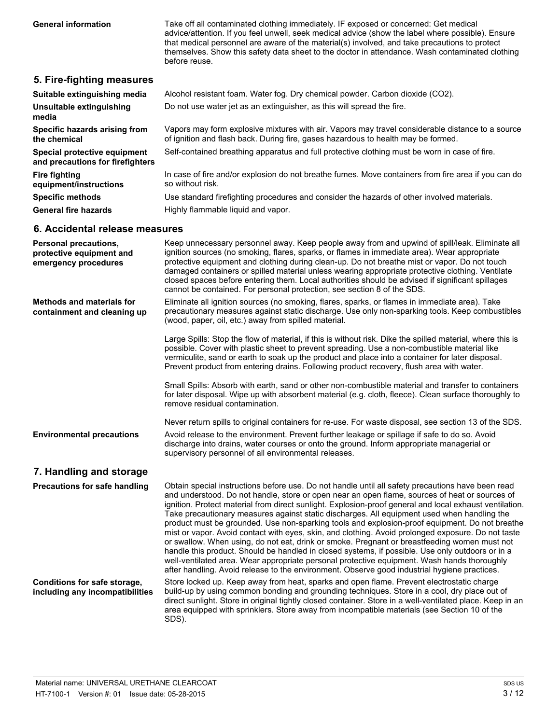**General information** Take off all contaminated clothing immediately. IF exposed or concerned: Get medical advice/attention. If you feel unwell, seek medical advice (show the label where possible). Ensure that medical personnel are aware of the material(s) involved, and take precautions to protect themselves. Show this safety data sheet to the doctor in attendance. Wash contaminated clothing before reuse.

## **5. Fire-fighting measures**

| Suitable extinguishing media                                     | Alcohol resistant foam. Water fog. Dry chemical powder. Carbon dioxide (CO2).                                                                                                         |
|------------------------------------------------------------------|---------------------------------------------------------------------------------------------------------------------------------------------------------------------------------------|
| Unsuitable extinguishing<br>media                                | Do not use water jet as an extinguisher, as this will spread the fire.                                                                                                                |
| Specific hazards arising from<br>the chemical                    | Vapors may form explosive mixtures with air. Vapors may travel considerable distance to a source<br>of ignition and flash back. During fire, gases hazardous to health may be formed. |
| Special protective equipment<br>and precautions for firefighters | Self-contained breathing apparatus and full protective clothing must be worn in case of fire.                                                                                         |
| <b>Fire fighting</b><br>equipment/instructions                   | In case of fire and/or explosion do not breathe fumes. Move containers from fire area if you can do<br>so without risk.                                                               |
| <b>Specific methods</b>                                          | Use standard firefighting procedures and consider the hazards of other involved materials.                                                                                            |
| <b>General fire hazards</b>                                      | Highly flammable liguid and vapor.                                                                                                                                                    |

# **6. Accidental release measures**

| <b>Personal precautions,</b><br>protective equipment and<br>emergency procedures | Keep unnecessary personnel away. Keep people away from and upwind of spill/leak. Eliminate all<br>ignition sources (no smoking, flares, sparks, or flames in immediate area). Wear appropriate<br>protective equipment and clothing during clean-up. Do not breathe mist or vapor. Do not touch<br>damaged containers or spilled material unless wearing appropriate protective clothing. Ventilate<br>closed spaces before entering them. Local authorities should be advised if significant spillages<br>cannot be contained. For personal protection, see section 8 of the SDS.                                                                                                                                                                                                                                                                                                                                                                                                                                       |
|----------------------------------------------------------------------------------|--------------------------------------------------------------------------------------------------------------------------------------------------------------------------------------------------------------------------------------------------------------------------------------------------------------------------------------------------------------------------------------------------------------------------------------------------------------------------------------------------------------------------------------------------------------------------------------------------------------------------------------------------------------------------------------------------------------------------------------------------------------------------------------------------------------------------------------------------------------------------------------------------------------------------------------------------------------------------------------------------------------------------|
| <b>Methods and materials for</b><br>containment and cleaning up                  | Eliminate all ignition sources (no smoking, flares, sparks, or flames in immediate area). Take<br>precautionary measures against static discharge. Use only non-sparking tools. Keep combustibles<br>(wood, paper, oil, etc.) away from spilled material.                                                                                                                                                                                                                                                                                                                                                                                                                                                                                                                                                                                                                                                                                                                                                                |
|                                                                                  | Large Spills: Stop the flow of material, if this is without risk. Dike the spilled material, where this is<br>possible. Cover with plastic sheet to prevent spreading. Use a non-combustible material like<br>vermiculite, sand or earth to soak up the product and place into a container for later disposal.<br>Prevent product from entering drains. Following product recovery, flush area with water.                                                                                                                                                                                                                                                                                                                                                                                                                                                                                                                                                                                                               |
|                                                                                  | Small Spills: Absorb with earth, sand or other non-combustible material and transfer to containers<br>for later disposal. Wipe up with absorbent material (e.g. cloth, fleece). Clean surface thoroughly to<br>remove residual contamination.                                                                                                                                                                                                                                                                                                                                                                                                                                                                                                                                                                                                                                                                                                                                                                            |
| <b>Environmental precautions</b>                                                 | Never return spills to original containers for re-use. For waste disposal, see section 13 of the SDS.<br>Avoid release to the environment. Prevent further leakage or spillage if safe to do so. Avoid<br>discharge into drains, water courses or onto the ground. Inform appropriate managerial or<br>supervisory personnel of all environmental releases.                                                                                                                                                                                                                                                                                                                                                                                                                                                                                                                                                                                                                                                              |
| 7. Handling and storage                                                          |                                                                                                                                                                                                                                                                                                                                                                                                                                                                                                                                                                                                                                                                                                                                                                                                                                                                                                                                                                                                                          |
| Precautions for safe handling                                                    | Obtain special instructions before use. Do not handle until all safety precautions have been read<br>and understood. Do not handle, store or open near an open flame, sources of heat or sources of<br>ignition. Protect material from direct sunlight. Explosion-proof general and local exhaust ventilation.<br>Take precautionary measures against static discharges. All equipment used when handling the<br>product must be grounded. Use non-sparking tools and explosion-proof equipment. Do not breathe<br>mist or vapor. Avoid contact with eyes, skin, and clothing. Avoid prolonged exposure. Do not taste<br>or swallow. When using, do not eat, drink or smoke. Pregnant or breastfeeding women must not<br>handle this product. Should be handled in closed systems, if possible. Use only outdoors or in a<br>well-ventilated area. Wear appropriate personal protective equipment. Wash hands thoroughly<br>after handling. Avoid release to the environment. Observe good industrial hygiene practices. |
| <b>Conditions for safe storage,</b><br>including any incompatibilities           | Store locked up. Keep away from heat, sparks and open flame. Prevent electrostatic charge<br>build-up by using common bonding and grounding techniques. Store in a cool, dry place out of<br>direct sunlight. Store in original tightly closed container. Store in a well-ventilated place. Keep in an<br>area equipped with sprinklers. Store away from incompatible materials (see Section 10 of the<br>SDS).                                                                                                                                                                                                                                                                                                                                                                                                                                                                                                                                                                                                          |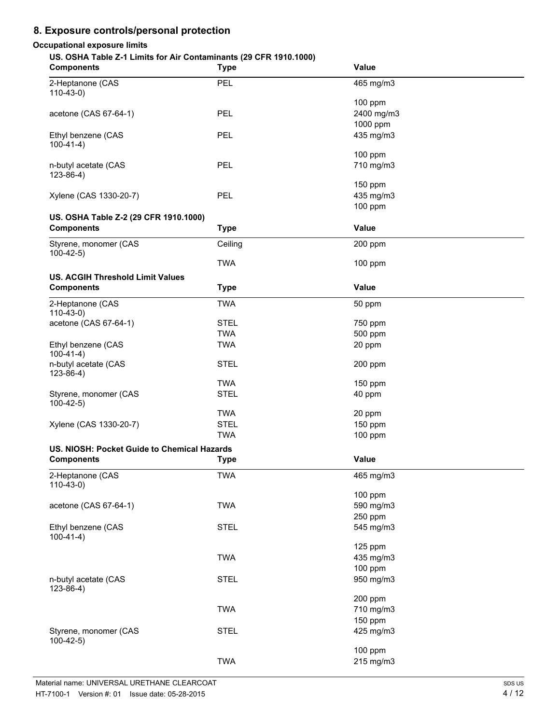# **8. Exposure controls/personal protection**

## **Occupational exposure limits**

## **US. OSHA Table Z-1 Limits for Air Contaminants (29 CFR 1910.1000)**

| <b>Components</b>                                          | <b>Type</b> | <b>Value</b>          |
|------------------------------------------------------------|-------------|-----------------------|
| 2-Heptanone (CAS<br>$110-43-0$                             | PEL         | 465 mg/m3             |
| acetone (CAS 67-64-1)                                      | <b>PEL</b>  | 100 ppm<br>2400 mg/m3 |
| Ethyl benzene (CAS<br>$100-41-4)$                          | PEL         | 1000 ppm<br>435 mg/m3 |
| n-butyl acetate (CAS                                       | <b>PEL</b>  | 100 ppm<br>710 mg/m3  |
| $123 - 86 - 4$ )                                           |             | 150 ppm               |
| Xylene (CAS 1330-20-7)                                     | <b>PEL</b>  | 435 mg/m3<br>100 ppm  |
| US. OSHA Table Z-2 (29 CFR 1910.1000)<br><b>Components</b> | <b>Type</b> | Value                 |
| Styrene, monomer (CAS                                      | Ceiling     | 200 ppm               |
| $100-42-5$                                                 | <b>TWA</b>  | 100 ppm               |
| <b>US. ACGIH Threshold Limit Values</b>                    |             |                       |
| <b>Components</b>                                          | <b>Type</b> | Value                 |
| 2-Heptanone (CAS<br>$110-43-0)$                            | <b>TWA</b>  | 50 ppm                |
| acetone (CAS 67-64-1)                                      | <b>STEL</b> | 750 ppm               |
|                                                            | <b>TWA</b>  | 500 ppm               |
| Ethyl benzene (CAS<br>$100-41-4)$                          | <b>TWA</b>  | 20 ppm                |
| n-butyl acetate (CAS<br>$123 - 86 - 4$ )                   | <b>STEL</b> | 200 ppm               |
|                                                            | <b>TWA</b>  | 150 ppm               |
| Styrene, monomer (CAS<br>$100-42-5)$                       | <b>STEL</b> | 40 ppm                |
|                                                            | <b>TWA</b>  | 20 ppm                |
| Xylene (CAS 1330-20-7)                                     | <b>STEL</b> | 150 ppm               |
|                                                            | <b>TWA</b>  | 100 ppm               |
| US. NIOSH: Pocket Guide to Chemical Hazards                |             |                       |
| <b>Components</b>                                          | <b>Type</b> | Value                 |
| 2-Heptanone (CAS<br>$110-43-0$                             | <b>TWA</b>  | 465 mg/m3             |
|                                                            | <b>TWA</b>  | 100 ppm<br>590 mg/m3  |
| acetone (CAS 67-64-1)                                      |             | 250 ppm               |
| Ethyl benzene (CAS<br>$100-41-4)$                          | <b>STEL</b> | 545 mg/m3             |
|                                                            |             | 125 ppm               |
|                                                            | <b>TWA</b>  | 435 mg/m3             |
|                                                            |             | 100 ppm               |
| n-butyl acetate (CAS<br>$123 - 86 - 4$ )                   | <b>STEL</b> | 950 mg/m3             |
|                                                            | <b>TWA</b>  | 200 ppm<br>710 mg/m3  |
|                                                            |             | 150 ppm               |
| Styrene, monomer (CAS<br>$100-42-5)$                       | <b>STEL</b> | 425 mg/m3             |
|                                                            |             | 100 ppm               |
|                                                            | <b>TWA</b>  | 215 mg/m3             |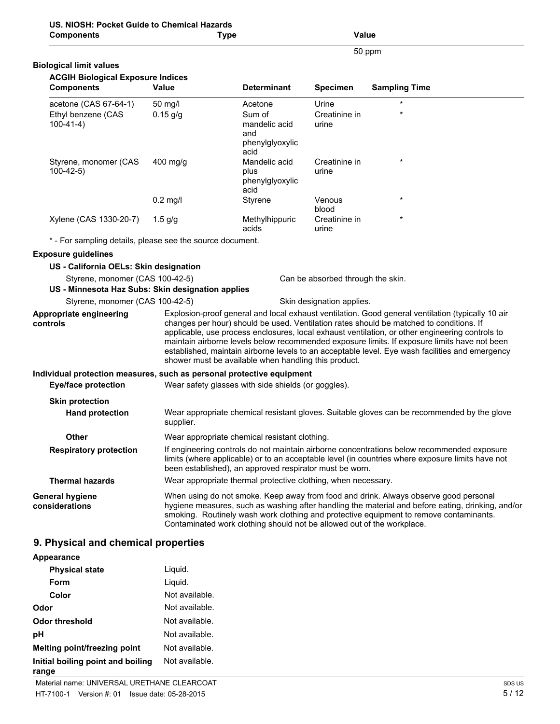| US. NIOSH: Pocket Guide to Chemical Hazards<br><b>Components</b>                     | <b>Type</b>                                                            |                                                  | <b>Value</b>                      |                                                                                                                                                                                                                                                                                                                                                                                                                                                                                                    |
|--------------------------------------------------------------------------------------|------------------------------------------------------------------------|--------------------------------------------------|-----------------------------------|----------------------------------------------------------------------------------------------------------------------------------------------------------------------------------------------------------------------------------------------------------------------------------------------------------------------------------------------------------------------------------------------------------------------------------------------------------------------------------------------------|
|                                                                                      |                                                                        |                                                  |                                   | 50 ppm                                                                                                                                                                                                                                                                                                                                                                                                                                                                                             |
| <b>Biological limit values</b>                                                       |                                                                        |                                                  |                                   |                                                                                                                                                                                                                                                                                                                                                                                                                                                                                                    |
| <b>ACGIH Biological Exposure Indices</b>                                             |                                                                        |                                                  |                                   |                                                                                                                                                                                                                                                                                                                                                                                                                                                                                                    |
| <b>Components</b>                                                                    | Value                                                                  | <b>Determinant</b>                               | <b>Specimen</b>                   | <b>Sampling Time</b>                                                                                                                                                                                                                                                                                                                                                                                                                                                                               |
| acetone (CAS 67-64-1)                                                                | 50 mg/l                                                                | Acetone                                          | Urine                             |                                                                                                                                                                                                                                                                                                                                                                                                                                                                                                    |
| Ethyl benzene (CAS<br>$100-41-4)$                                                    | $0.15$ g/g                                                             | Sum of<br>mandelic acid<br>and                   | Creatinine in<br>urine            |                                                                                                                                                                                                                                                                                                                                                                                                                                                                                                    |
|                                                                                      |                                                                        | phenylglyoxylic<br>acid                          |                                   |                                                                                                                                                                                                                                                                                                                                                                                                                                                                                                    |
| Styrene, monomer (CAS<br>$100-42-5$                                                  | $400$ mg/g                                                             | Mandelic acid<br>plus<br>phenylglyoxylic<br>acid | Creatinine in<br>urine            |                                                                                                                                                                                                                                                                                                                                                                                                                                                                                                    |
|                                                                                      | $0.2$ mg/l                                                             | Styrene                                          | Venous<br>blood                   | *                                                                                                                                                                                                                                                                                                                                                                                                                                                                                                  |
| Xylene (CAS 1330-20-7)                                                               | $1.5$ g/g                                                              | Methylhippuric<br>acids                          | Creatinine in<br>urine            |                                                                                                                                                                                                                                                                                                                                                                                                                                                                                                    |
| * - For sampling details, please see the source document.                            |                                                                        |                                                  |                                   |                                                                                                                                                                                                                                                                                                                                                                                                                                                                                                    |
| <b>Exposure guidelines</b>                                                           |                                                                        |                                                  |                                   |                                                                                                                                                                                                                                                                                                                                                                                                                                                                                                    |
| US - California OELs: Skin designation                                               |                                                                        |                                                  |                                   |                                                                                                                                                                                                                                                                                                                                                                                                                                                                                                    |
| Styrene, monomer (CAS 100-42-5)<br>US - Minnesota Haz Subs: Skin designation applies |                                                                        |                                                  | Can be absorbed through the skin. |                                                                                                                                                                                                                                                                                                                                                                                                                                                                                                    |
| Styrene, monomer (CAS 100-42-5)                                                      |                                                                        |                                                  | Skin designation applies.         |                                                                                                                                                                                                                                                                                                                                                                                                                                                                                                    |
| Appropriate engineering<br>controls                                                  | shower must be available when handling this product.                   |                                                  |                                   | Explosion-proof general and local exhaust ventilation. Good general ventilation (typically 10 air<br>changes per hour) should be used. Ventilation rates should be matched to conditions. If<br>applicable, use process enclosures, local exhaust ventilation, or other engineering controls to<br>maintain airborne levels below recommended exposure limits. If exposure limits have not been<br>established, maintain airborne levels to an acceptable level. Eye wash facilities and emergency |
| Individual protection measures, such as personal protective equipment                |                                                                        |                                                  |                                   |                                                                                                                                                                                                                                                                                                                                                                                                                                                                                                    |
| <b>Eye/face protection</b>                                                           | Wear safety glasses with side shields (or goggles).                    |                                                  |                                   |                                                                                                                                                                                                                                                                                                                                                                                                                                                                                                    |
| <b>Skin protection</b>                                                               |                                                                        |                                                  |                                   |                                                                                                                                                                                                                                                                                                                                                                                                                                                                                                    |
| <b>Hand protection</b>                                                               | supplier.                                                              |                                                  |                                   | Wear appropriate chemical resistant gloves. Suitable gloves can be recommended by the glove                                                                                                                                                                                                                                                                                                                                                                                                        |
| <b>Other</b>                                                                         | Wear appropriate chemical resistant clothing.                          |                                                  |                                   |                                                                                                                                                                                                                                                                                                                                                                                                                                                                                                    |
| <b>Respiratory protection</b>                                                        | been established), an approved respirator must be worn.                |                                                  |                                   | If engineering controls do not maintain airborne concentrations below recommended exposure<br>limits (where applicable) or to an acceptable level (in countries where exposure limits have not                                                                                                                                                                                                                                                                                                     |
| <b>Thermal hazards</b>                                                               | Wear appropriate thermal protective clothing, when necessary.          |                                                  |                                   |                                                                                                                                                                                                                                                                                                                                                                                                                                                                                                    |
| <b>General hygiene</b><br>considerations                                             | Contaminated work clothing should not be allowed out of the workplace. |                                                  |                                   | When using do not smoke. Keep away from food and drink. Always observe good personal<br>hygiene measures, such as washing after handling the material and before eating, drinking, and/or<br>smoking. Routinely wash work clothing and protective equipment to remove contaminants.                                                                                                                                                                                                                |

# **9. Physical and chemical properties**

| Appearance                                 |                |
|--------------------------------------------|----------------|
| <b>Physical state</b>                      | Liquid.        |
| Form                                       | Liquid.        |
| Color                                      | Not available. |
| Odor                                       | Not available. |
| Odor threshold                             | Not available. |
| рH                                         | Not available. |
| Melting point/freezing point               | Not available. |
| Initial boiling point and boiling<br>range | Not available. |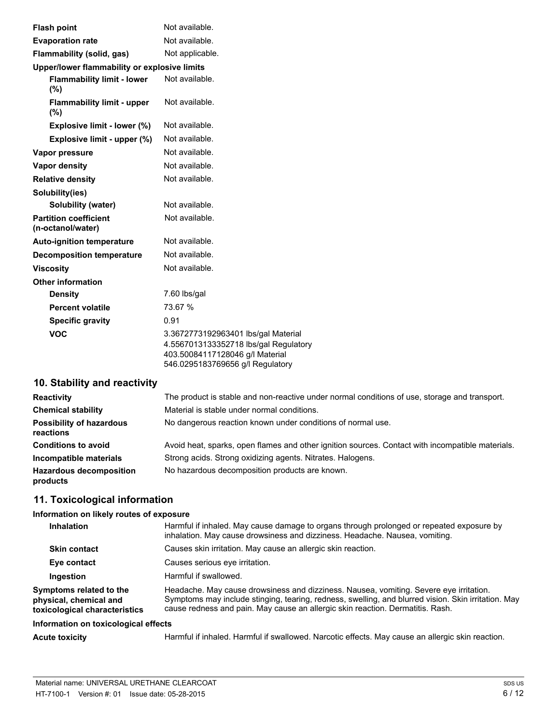| <b>Flash point</b>                                | Not available.                                                                                                                                      |
|---------------------------------------------------|-----------------------------------------------------------------------------------------------------------------------------------------------------|
| <b>Evaporation rate</b>                           | Not available.                                                                                                                                      |
| Flammability (solid, gas)                         | Not applicable.                                                                                                                                     |
| Upper/lower flammability or explosive limits      |                                                                                                                                                     |
| <b>Flammability limit - lower</b><br>(%)          | Not available.                                                                                                                                      |
| <b>Flammability limit - upper</b><br>(%)          | Not available.                                                                                                                                      |
| Explosive limit - lower (%)                       | Not available.                                                                                                                                      |
| Explosive limit - upper (%)                       | Not available.                                                                                                                                      |
| Vapor pressure                                    | Not available.                                                                                                                                      |
| <b>Vapor density</b>                              | Not available.                                                                                                                                      |
| <b>Relative density</b>                           | Not available.                                                                                                                                      |
| Solubility(ies)                                   |                                                                                                                                                     |
| Solubility (water)                                | Not available.                                                                                                                                      |
| <b>Partition coefficient</b><br>(n-octanol/water) | Not available.                                                                                                                                      |
| <b>Auto-ignition temperature</b>                  | Not available.                                                                                                                                      |
| <b>Decomposition temperature</b>                  | Not available.                                                                                                                                      |
| <b>Viscosity</b>                                  | Not available.                                                                                                                                      |
| <b>Other information</b>                          |                                                                                                                                                     |
| <b>Density</b>                                    | 7.60 lbs/gal                                                                                                                                        |
| <b>Percent volatile</b>                           | 73.67 %                                                                                                                                             |
| <b>Specific gravity</b>                           | 0.91                                                                                                                                                |
| <b>VOC</b>                                        | 3.3672773192963401 lbs/gal Material<br>4.5567013133352718 lbs/gal Regulatory<br>403.50084117128046 g/l Material<br>546.0295183769656 g/l Regulatory |

# **10. Stability and reactivity**

| <b>Reactivity</b>                            | The product is stable and non-reactive under normal conditions of use, storage and transport.    |
|----------------------------------------------|--------------------------------------------------------------------------------------------------|
| <b>Chemical stability</b>                    | Material is stable under normal conditions.                                                      |
| <b>Possibility of hazardous</b><br>reactions | No dangerous reaction known under conditions of normal use.                                      |
| <b>Conditions to avoid</b>                   | Avoid heat, sparks, open flames and other ignition sources. Contact with incompatible materials. |
| Incompatible materials                       | Strong acids. Strong oxidizing agents. Nitrates. Halogens.                                       |
| <b>Hazardous decomposition</b><br>products   | No hazardous decomposition products are known.                                                   |

# **11. Toxicological information**

# **Information on likely routes of exposure**

| <b>Inhalation</b>                                                                  | Harmful if inhaled. May cause damage to organs through prolonged or repeated exposure by<br>inhalation. May cause drowsiness and dizziness. Headache. Nausea, vomiting.                                                                                                         |
|------------------------------------------------------------------------------------|---------------------------------------------------------------------------------------------------------------------------------------------------------------------------------------------------------------------------------------------------------------------------------|
| <b>Skin contact</b>                                                                | Causes skin irritation. May cause an allergic skin reaction.                                                                                                                                                                                                                    |
| Eye contact                                                                        | Causes serious eye irritation.                                                                                                                                                                                                                                                  |
| Ingestion                                                                          | Harmful if swallowed.                                                                                                                                                                                                                                                           |
| Symptoms related to the<br>physical, chemical and<br>toxicological characteristics | Headache. May cause drowsiness and dizziness. Nausea, vomiting. Severe eye irritation.<br>Symptoms may include stinging, tearing, redness, swelling, and blurred vision. Skin irritation. May<br>cause redness and pain. May cause an allergic skin reaction. Dermatitis. Rash. |
| Information on toxicological effects                                               |                                                                                                                                                                                                                                                                                 |

Acute toxicity **Harmful if inhaled. Harmful if swallowed. Narcotic effects. May cause an allergic skin reaction.**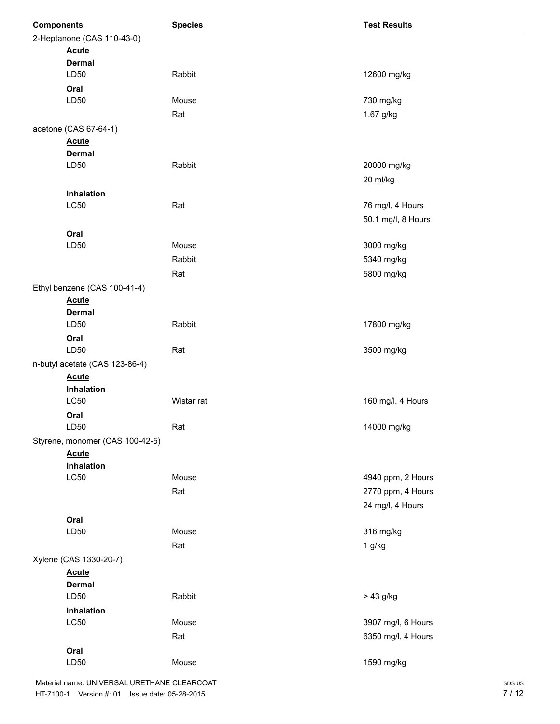| <b>Components</b> |                                 | <b>Species</b> | <b>Test Results</b> |
|-------------------|---------------------------------|----------------|---------------------|
|                   | 2-Heptanone (CAS 110-43-0)      |                |                     |
|                   | <b>Acute</b>                    |                |                     |
|                   | <b>Dermal</b>                   |                |                     |
|                   | LD50                            | Rabbit         | 12600 mg/kg         |
|                   | Oral                            |                |                     |
|                   | LD50                            | Mouse          | 730 mg/kg           |
|                   |                                 | Rat            | 1.67 g/kg           |
|                   | acetone (CAS 67-64-1)           |                |                     |
|                   | <b>Acute</b>                    |                |                     |
|                   | <b>Dermal</b>                   |                |                     |
|                   | LD50                            | Rabbit         | 20000 mg/kg         |
|                   |                                 |                | 20 ml/kg            |
|                   | Inhalation                      |                |                     |
|                   | LC50                            | Rat            | 76 mg/l, 4 Hours    |
|                   |                                 |                | 50.1 mg/l, 8 Hours  |
|                   | Oral                            |                |                     |
|                   | LD50                            | Mouse          | 3000 mg/kg          |
|                   |                                 | Rabbit         | 5340 mg/kg          |
|                   |                                 |                |                     |
|                   |                                 | Rat            | 5800 mg/kg          |
|                   | Ethyl benzene (CAS 100-41-4)    |                |                     |
|                   | <b>Acute</b>                    |                |                     |
|                   | <b>Dermal</b>                   | Rabbit         |                     |
|                   | LD50                            |                | 17800 mg/kg         |
|                   | Oral                            |                |                     |
|                   | LD50                            | Rat            | 3500 mg/kg          |
|                   | n-butyl acetate (CAS 123-86-4)  |                |                     |
|                   | <b>Acute</b>                    |                |                     |
|                   | Inhalation                      | Wistar rat     |                     |
|                   | LC50                            |                | 160 mg/l, 4 Hours   |
|                   | Oral<br>LD50                    |                |                     |
|                   |                                 | Rat            | 14000 mg/kg         |
|                   | Styrene, monomer (CAS 100-42-5) |                |                     |
|                   | <b>Acute</b>                    |                |                     |
|                   | Inhalation<br>LC50              | Mouse          | 4940 ppm, 2 Hours   |
|                   |                                 |                |                     |
|                   |                                 | Rat            | 2770 ppm, 4 Hours   |
|                   |                                 |                | 24 mg/l, 4 Hours    |
|                   | Oral                            |                |                     |
|                   | LD50                            | Mouse          | 316 mg/kg           |
|                   |                                 | Rat            | $1$ g/kg            |
|                   | Xylene (CAS 1330-20-7)          |                |                     |
|                   | <b>Acute</b>                    |                |                     |
|                   | <b>Dermal</b>                   |                |                     |
|                   | LD50                            | Rabbit         | $> 43$ g/kg         |
|                   | Inhalation                      |                |                     |
|                   | LC50                            | Mouse          | 3907 mg/l, 6 Hours  |
|                   |                                 | Rat            | 6350 mg/l, 4 Hours  |
|                   | Oral                            |                |                     |
|                   | LD50                            | Mouse          | 1590 mg/kg          |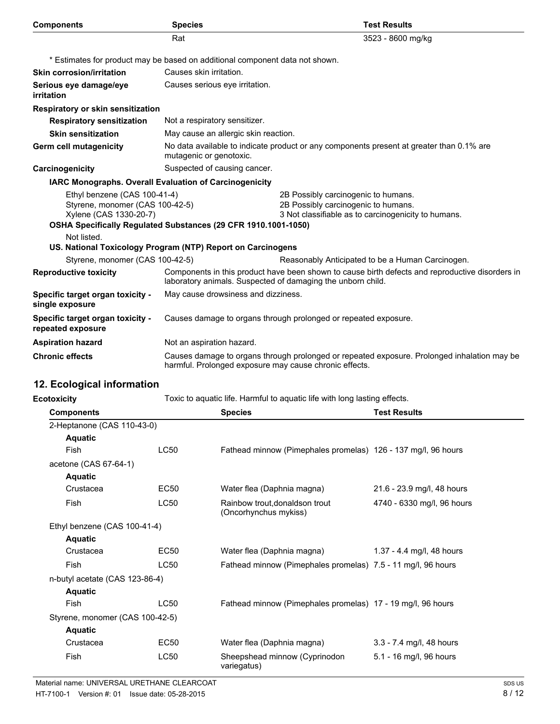| <b>Components</b>                                                                                        | <b>Species</b>                                                               | <b>Test Results</b>                                                                                                               |
|----------------------------------------------------------------------------------------------------------|------------------------------------------------------------------------------|-----------------------------------------------------------------------------------------------------------------------------------|
|                                                                                                          | Rat                                                                          | 3523 - 8600 mg/kg                                                                                                                 |
|                                                                                                          | * Estimates for product may be based on additional component data not shown. |                                                                                                                                   |
| <b>Skin corrosion/irritation</b>                                                                         | Causes skin irritation.                                                      |                                                                                                                                   |
| Serious eye damage/eye<br>irritation                                                                     | Causes serious eye irritation.                                               |                                                                                                                                   |
| Respiratory or skin sensitization                                                                        |                                                                              |                                                                                                                                   |
| <b>Respiratory sensitization</b>                                                                         | Not a respiratory sensitizer.                                                |                                                                                                                                   |
| <b>Skin sensitization</b>                                                                                | May cause an allergic skin reaction.                                         |                                                                                                                                   |
| <b>Germ cell mutagenicity</b>                                                                            | mutagenic or genotoxic.                                                      | No data available to indicate product or any components present at greater than 0.1% are                                          |
| Carcinogenicity                                                                                          | Suspected of causing cancer.                                                 |                                                                                                                                   |
|                                                                                                          | IARC Monographs. Overall Evaluation of Carcinogenicity                       |                                                                                                                                   |
| Ethyl benzene (CAS 100-41-4)<br>Styrene, monomer (CAS 100-42-5)<br>Xylene (CAS 1330-20-7)<br>Not listed. | OSHA Specifically Regulated Substances (29 CFR 1910.1001-1050)               | 2B Possibly carcinogenic to humans.<br>2B Possibly carcinogenic to humans.<br>3 Not classifiable as to carcinogenicity to humans. |
|                                                                                                          | US. National Toxicology Program (NTP) Report on Carcinogens                  |                                                                                                                                   |
| Styrene, monomer (CAS 100-42-5)                                                                          |                                                                              | Reasonably Anticipated to be a Human Carcinogen.                                                                                  |
| <b>Reproductive toxicity</b>                                                                             | laboratory animals. Suspected of damaging the unborn child.                  | Components in this product have been shown to cause birth defects and reproductive disorders in                                   |
| Specific target organ toxicity -<br>single exposure                                                      | May cause drowsiness and dizziness.                                          |                                                                                                                                   |
| Specific target organ toxicity -<br>repeated exposure                                                    |                                                                              | Causes damage to organs through prolonged or repeated exposure.                                                                   |
| <b>Aspiration hazard</b>                                                                                 | Not an aspiration hazard.                                                    |                                                                                                                                   |
| <b>Chronic effects</b>                                                                                   | harmful. Prolonged exposure may cause chronic effects.                       | Causes damage to organs through prolonged or repeated exposure. Prolonged inhalation may be                                       |
| 12. Ecological information                                                                               |                                                                              |                                                                                                                                   |
| <b>Ecotoxicity</b>                                                                                       |                                                                              | Toxic to aquatic life. Harmful to aquatic life with long lasting effects.                                                         |
| <b>Components</b>                                                                                        | <b>Species</b>                                                               | <b>Test Results</b>                                                                                                               |
| 2-Heptanone (CAS 110-43-0)<br><b>Aquatic</b>                                                             |                                                                              |                                                                                                                                   |

Fish LC50 Fathead minnow (Pimephales promelas) 126 - 137 mg/l, 96 hours

Crustacea EC50 Water flea (Daphnia magna) 21.6 - 23.9 mg/l, 48 hours Fish LC50 Rainbow trout,donaldson trout 4740 - 6330 mg/l, 96 hours (Oncorhynchus mykiss)

Crustacea EC50 Water flea (Daphnia magna) 1.37 - 4.4 mg/l, 48 hours Fish LC50 Fathead minnow (Pimephales promelas) 7.5 - 11 mg/l, 96 hours

Fish LC50 Fathead minnow (Pimephales promelas) 17 - 19 mg/l, 96 hours

Crustacea EC50 Water flea (Daphnia magna) 3.3 - 7.4 mg/l, 48 hours Fish LC50 Sheepshead minnow (Cyprinodon 5.1 - 16 mg/l, 96 hours

variegatus)

|  | Material name: UNIVERSAL URETHANE CLEARCOAT    |  |
|--|------------------------------------------------|--|
|  | HT-7100-1 Version #: 01 Issue date: 05-28-2015 |  |

acetone (CAS 67-64-1) **Aquatic**

**Aquatic**

**Aquatic**

**Aquatic**

Ethyl benzene (CAS 100-41-4)

n-butyl acetate (CAS 123-86-4)

Styrene, monomer (CAS 100-42-5)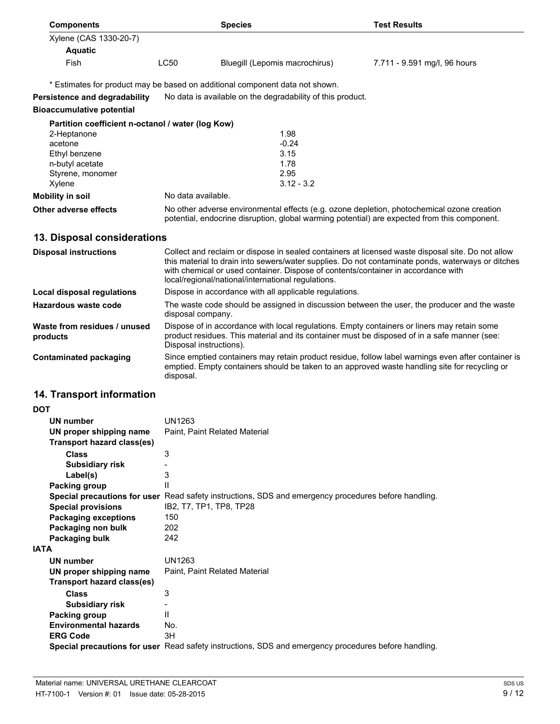| <b>Components</b>                                 |                    | <b>Species</b>                                                                               | <b>Test Results</b>                                                                        |
|---------------------------------------------------|--------------------|----------------------------------------------------------------------------------------------|--------------------------------------------------------------------------------------------|
| Xylene (CAS 1330-20-7)                            |                    |                                                                                              |                                                                                            |
| <b>Aquatic</b>                                    |                    |                                                                                              |                                                                                            |
| <b>Fish</b>                                       | LC50               | Bluegill (Lepomis macrochirus)                                                               | 7.711 - 9.591 mg/l, 96 hours                                                               |
|                                                   |                    | * Estimates for product may be based on additional component data not shown.                 |                                                                                            |
| Persistence and degradability                     |                    | No data is available on the degradability of this product.                                   |                                                                                            |
| <b>Bioaccumulative potential</b>                  |                    |                                                                                              |                                                                                            |
| Partition coefficient n-octanol / water (log Kow) |                    |                                                                                              |                                                                                            |
| 2-Heptanone                                       |                    | 1.98                                                                                         |                                                                                            |
| acetone                                           |                    | $-0.24$                                                                                      |                                                                                            |
| Ethyl benzene                                     |                    | 3.15                                                                                         |                                                                                            |
| n-butyl acetate                                   |                    | 1.78                                                                                         |                                                                                            |
| Styrene, monomer                                  |                    | 2.95                                                                                         |                                                                                            |
| Xylene                                            |                    | $3.12 - 3.2$                                                                                 |                                                                                            |
| <b>Mobility in soil</b>                           | No data available. |                                                                                              |                                                                                            |
| Other adverse effects                             |                    | potential, endocrine disruption, global warming potential) are expected from this component. | No other adverse environmental effects (e.g. ozone depletion, photochemical ozone creation |

# **13. Disposal considerations**

| <b>Disposal instructions</b>             | Collect and reclaim or dispose in sealed containers at licensed waste disposal site. Do not allow<br>this material to drain into sewers/water supplies. Do not contaminate ponds, waterways or ditches<br>with chemical or used container. Dispose of contents/container in accordance with<br>local/regional/national/international regulations. |
|------------------------------------------|---------------------------------------------------------------------------------------------------------------------------------------------------------------------------------------------------------------------------------------------------------------------------------------------------------------------------------------------------|
| Local disposal regulations               | Dispose in accordance with all applicable regulations.                                                                                                                                                                                                                                                                                            |
| Hazardous waste code                     | The waste code should be assigned in discussion between the user, the producer and the waste<br>disposal company.                                                                                                                                                                                                                                 |
| Waste from residues / unused<br>products | Dispose of in accordance with local regulations. Empty containers or liners may retain some<br>product residues. This material and its container must be disposed of in a safe manner (see:<br>Disposal instructions).                                                                                                                            |
| Contaminated packaging                   | Since emptied containers may retain product residue, follow label warnings even after container is<br>emptied. Empty containers should be taken to an approved waste handling site for recycling or<br>disposal.                                                                                                                                  |

# **14. Transport information**

| <b>DOT</b>  |                              |                                                                                                      |
|-------------|------------------------------|------------------------------------------------------------------------------------------------------|
|             | <b>UN number</b>             | UN1263                                                                                               |
|             | UN proper shipping name      | Paint, Paint Related Material                                                                        |
|             | Transport hazard class(es)   |                                                                                                      |
|             | Class                        | 3                                                                                                    |
|             | <b>Subsidiary risk</b>       |                                                                                                      |
|             | Label(s)                     | 3                                                                                                    |
|             | Packing group                | $\mathsf{I}$                                                                                         |
|             |                              | Special precautions for user Read safety instructions, SDS and emergency procedures before handling. |
|             | <b>Special provisions</b>    | IB2, T7, TP1, TP8, TP28                                                                              |
|             | <b>Packaging exceptions</b>  | 150                                                                                                  |
|             | Packaging non bulk           | 202                                                                                                  |
|             | Packaging bulk               | 242                                                                                                  |
| <b>IATA</b> |                              |                                                                                                      |
|             | <b>UN number</b>             | UN1263                                                                                               |
|             | UN proper shipping name      | Paint, Paint Related Material                                                                        |
|             | Transport hazard class(es)   |                                                                                                      |
|             | Class                        | 3                                                                                                    |
|             | <b>Subsidiary risk</b>       |                                                                                                      |
|             | Packing group                | $\mathbf{H}$                                                                                         |
|             | <b>Environmental hazards</b> | No.                                                                                                  |
|             | <b>ERG Code</b>              | 3H                                                                                                   |
|             |                              | Special precautions for user Read safety instructions, SDS and emergency procedures before handling. |
|             |                              |                                                                                                      |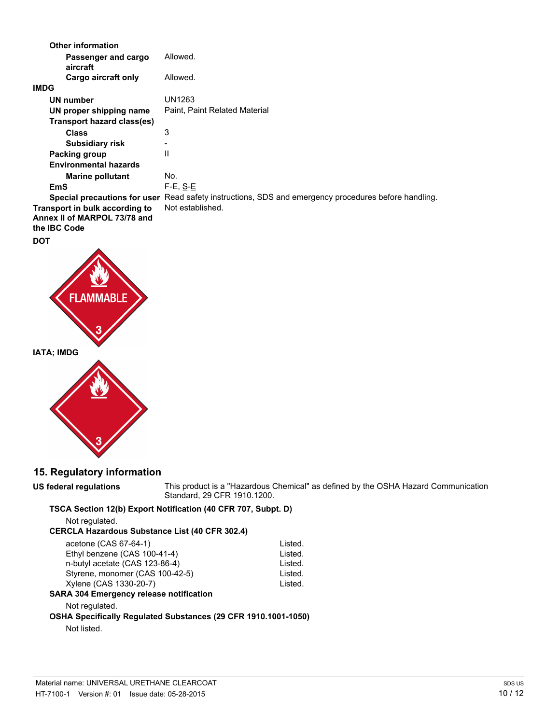| <b>Other information</b>                                                              |                                                                                                      |
|---------------------------------------------------------------------------------------|------------------------------------------------------------------------------------------------------|
| Passenger and cargo<br>aircraft                                                       | Allowed.                                                                                             |
| Cargo aircraft only                                                                   | Allowed.                                                                                             |
| <b>IMDG</b>                                                                           |                                                                                                      |
| <b>UN number</b>                                                                      | UN1263                                                                                               |
| UN proper shipping name                                                               | Paint, Paint Related Material                                                                        |
| Transport hazard class(es)                                                            |                                                                                                      |
| <b>Class</b>                                                                          | 3                                                                                                    |
| <b>Subsidiary risk</b>                                                                |                                                                                                      |
| Packing group                                                                         | Ш                                                                                                    |
| <b>Environmental hazards</b>                                                          |                                                                                                      |
| <b>Marine pollutant</b>                                                               | No.                                                                                                  |
| EmS                                                                                   | $F-E. S-E$                                                                                           |
|                                                                                       | Special precautions for user Read safety instructions, SDS and emergency procedures before handling. |
| Transport in bulk according to<br>Annex II of MARPOL 73/78 and<br>the <b>IBC</b> Code | Not established.                                                                                     |

## **DOT**





## **15. Regulatory information**

**US federal regulations** This product is a "Hazardous Chemical" as defined by the OSHA Hazard Communication Standard, 29 CFR 1910.1200.

## **TSCA Section 12(b) Export Notification (40 CFR 707, Subpt. D)**

Not regulated.

## **CERCLA Hazardous Substance List (40 CFR 302.4)**

| acetone (CAS 67-64-1)                                          | Listed. |
|----------------------------------------------------------------|---------|
| Ethyl benzene (CAS 100-41-4)                                   | Listed. |
| n-butyl acetate (CAS 123-86-4)                                 | Listed. |
| Styrene, monomer (CAS 100-42-5)                                | Listed. |
| Xylene (CAS 1330-20-7)                                         | Listed. |
| <b>SARA 304 Emergency release notification</b>                 |         |
| Not regulated.                                                 |         |
| OCHA Chesifiselly Demulated Cubetanese (30 CED 4040 4004 4050) |         |

# **OSHA Specifically Regulated Substances (29 CFR 1910.1001-1050)**

Not listed.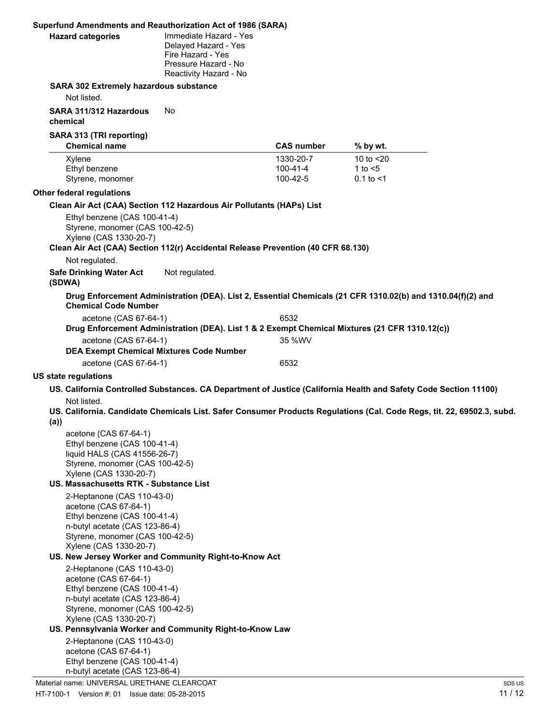## **Superfund Amendments and Reauthorization Act of 1986 (SARA) Hazard categories** Immediate Hazard - Yes Delayed Hazard - Yes Fire Hazard - Yes Pressure Hazard - No Reactivity Hazard - No **SARA 302 Extremely hazardous substance** Not listed. **SARA 311/312 Hazardous chemical** No **SARA 313 (TRI reporting) Chemical name CAS number % by wt.** Xylene 1330-20-7 10 to <20 Ethyl benzene 100-41-4 1 to <5 Styrene, monomer 100-42-5 0.1 to <1 **Other federal regulations Clean Air Act (CAA) Section 112 Hazardous Air Pollutants (HAPs) List** Ethyl benzene (CAS 100-41-4) Styrene, monomer (CAS 100-42-5) Xylene (CAS 1330-20-7) **Clean Air Act (CAA) Section 112(r) Accidental Release Prevention (40 CFR 68.130)** Not regulated. **Safe Drinking Water Act (SDWA)** Not regulated. **Drug Enforcement Administration (DEA). List 2, Essential Chemicals (21 CFR 1310.02(b) and 1310.04(f)(2) and Chemical Code Number** acetone (CAS 67-64-1) 6532 **Drug Enforcement Administration (DEA). List 1 & 2 Exempt Chemical Mixtures (21 CFR 1310.12(c))** acetone (CAS 67-64-1) 35 %WV **DEA Exempt Chemical Mixtures Code Number** acetone (CAS 67-64-1) 6532 **US state regulations US. California Controlled Substances. CA Department of Justice (California Health and Safety Code Section 11100)** Not listed. **US. California. Candidate Chemicals List. Safer Consumer Products Regulations (Cal. Code Regs, tit. 22, 69502.3, subd. (a))** acetone (CAS 67-64-1) Ethyl benzene (CAS 100-41-4) liquid HALS (CAS 41556-26-7) Styrene, monomer (CAS 100-42-5) Xylene (CAS 1330-20-7) **US. Massachusetts RTK - Substance List** 2-Heptanone (CAS 110-43-0) acetone (CAS 67-64-1) Ethyl benzene (CAS 100-41-4) n-butyl acetate (CAS 123-86-4) Styrene, monomer (CAS 100-42-5) Xylene (CAS 1330-20-7) **US. New Jersey Worker and Community Right-to-Know Act** 2-Heptanone (CAS 110-43-0) acetone (CAS 67-64-1) Ethyl benzene (CAS 100-41-4) n-butyl acetate (CAS 123-86-4) Styrene, monomer (CAS 100-42-5) Xylene (CAS 1330-20-7) **US. Pennsylvania Worker and Community Right-to-Know Law**

2-Heptanone (CAS 110-43-0) acetone (CAS 67-64-1) Ethyl benzene (CAS 100-41-4) n-butyl acetate (CAS 123-86-4)